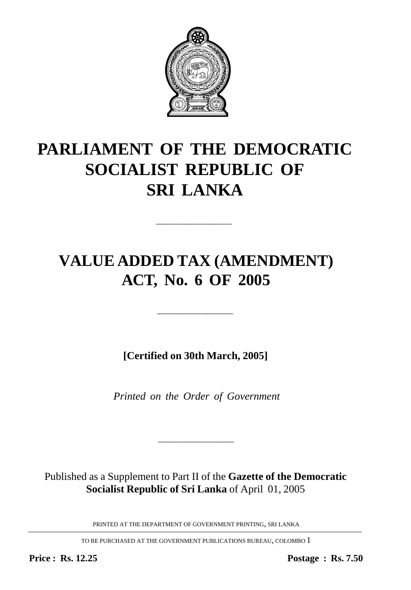

# **PARLIAMENT OF THE DEMOCRATIC SOCIALIST REPUBLIC OF SRI LANKA**

—————————

## **VALUE ADDED TAX (AMENDMENT) ACT, No. 6 OF 2005**

**[Certified on 30th March, 2005]**

—————————

*Printed on the Order of Government*

Published as a Supplement to Part II of the **Gazette of the Democratic Socialist Republic of Sri Lanka** of April 01, 2005

————————————————————

PRINTED AT THE DEPARTMENT OF GOVERNMENT PRINTING, SRI LANKA

TO BE PURCHASED AT THE GOVERNMENT PUBLICATIONS BUREAU, COLOMBO 1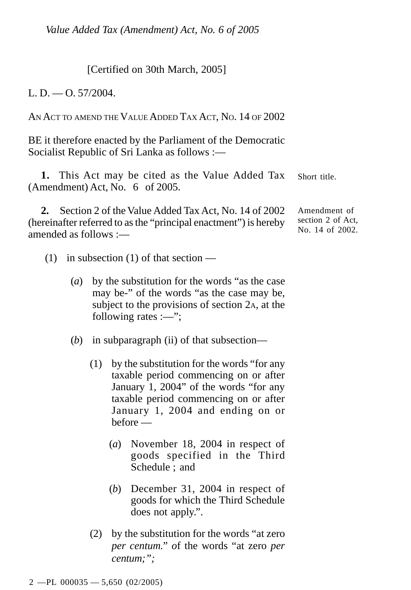[Certified on 30th March, 2005]

L. D — O. 57/2004.

AN ACT TO AMEND THE VALUE ADDED TAX ACT, NO. 14 OF 2002

BE it therefore enacted by the Parliament of the Democratic Socialist Republic of Sri Lanka as follows :—

Short title. **1.** This Act may be cited as the Value Added Tax (Amendment) Act, No. 6 of 2005.

**2.** Section 2 of the Value Added Tax Act, No. 14 of 2002 (hereinafter referred to as the "principal enactment") is hereby amended as follows :—

Amendment of section 2 of Act, No. 14 of 2002.

- (1) in subsection (1) of that section
	- (*a*) by the substitution for the words "as the case may be-" of the words "as the case may be, subject to the provisions of section 2A, at the following rates :—";
	- (*b*) in subparagraph (ii) of that subsection—
		- (1) by the substitution for the words "for any taxable period commencing on or after January 1, 2004" of the words "for any taxable period commencing on or after January 1, 2004 and ending on or before —
			- (*a*) November 18, 2004 in respect of goods specified in the Third Schedule ; and
			- (*b*) December 31, 2004 in respect of goods for which the Third Schedule does not apply.".
		- (2) by the substitution for the words "at zero *per centum." o*f the words "at zero *per centum;";*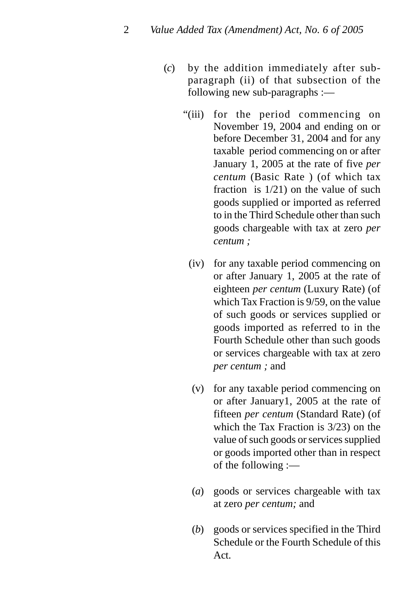- (*c*) by the addition immediately after subparagraph (ii) of that subsection of the following new sub-paragraphs :—
	- "(iii) for the period commencing on November 19, 2004 and ending on or before December 31, 2004 and for any taxable period commencing on or after January 1, 2005 at the rate of five *per centum* (Basic Rate ) (of which tax fraction is 1/21) on the value of such goods supplied or imported as referred to in the Third Schedule other than such goods chargeable with tax at zero *per centum ;*
		- (iv) for any taxable period commencing on or after January 1, 2005 at the rate of eighteen *per centum* (Luxury Rate) (of which Tax Fraction is 9/59, on the value of such goods or services supplied or goods imported as referred to in the Fourth Schedule other than such goods or services chargeable with tax at zero *per centum ;* and
		- (v) for any taxable period commencing on or after January1, 2005 at the rate of fifteen *per centum* (Standard Rate) (of which the Tax Fraction is 3/23) on the value of such goods or services supplied or goods imported other than in respect of the following :—
		- (*a*) goods or services chargeable with tax at zero *per centum;* and
		- (*b*) goods or services specified in the Third Schedule or the Fourth Schedule of this Act.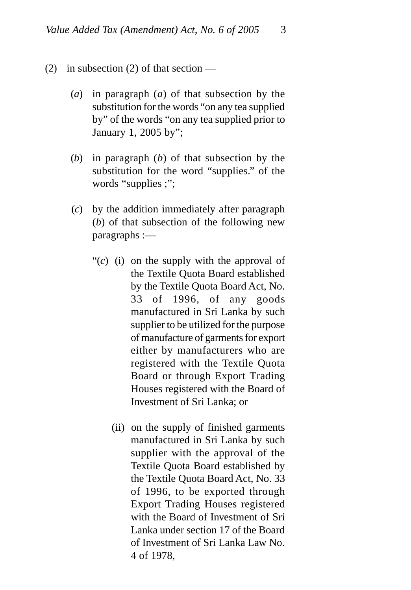- (2) in subsection (2) of that section
	- (*a*) in paragraph (*a*) of that subsection by the substitution for the words "on any tea supplied by" of the words "on any tea supplied prior to January 1, 2005 by";
	- (*b*) in paragraph (*b*) of that subsection by the substitution for the word "supplies." of the words "supplies ;";
	- (*c*) by the addition immediately after paragraph (*b*) of that subsection of the following new paragraphs :—
		- "(*c*) (i) on the supply with the approval of the Textile Quota Board established by the Textile Quota Board Act, No. 33 of 1996, of any goods manufactured in Sri Lanka by such supplier to be utilized for the purpose of manufacture of garments for export either by manufacturers who are registered with the Textile Quota Board or through Export Trading Houses registered with the Board of Investment of Sri Lanka; or
			- (ii) on the supply of finished garments manufactured in Sri Lanka by such supplier with the approval of the Textile Quota Board established by the Textile Quota Board Act, No. 33 of 1996, to be exported through Export Trading Houses registered with the Board of Investment of Sri Lanka under section 17 of the Board of Investment of Sri Lanka Law No. 4 of 1978,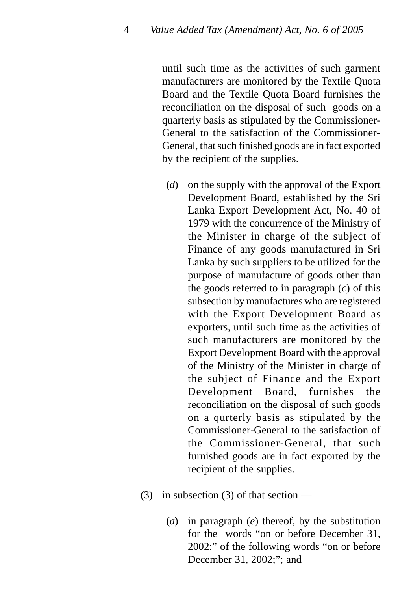until such time as the activities of such garment manufacturers are monitored by the Textile Quota Board and the Textile Quota Board furnishes the reconciliation on the disposal of such goods on a quarterly basis as stipulated by the Commissioner-General to the satisfaction of the Commissioner-General, that such finished goods are in fact exported by the recipient of the supplies.

- (*d*) on the supply with the approval of the Export Development Board, established by the Sri Lanka Export Development Act, No. 40 of 1979 with the concurrence of the Ministry of the Minister in charge of the subject of Finance of any goods manufactured in Sri Lanka by such suppliers to be utilized for the purpose of manufacture of goods other than the goods referred to in paragraph (*c*) of this subsection by manufactures who are registered with the Export Development Board as exporters, until such time as the activities of such manufacturers are monitored by the Export Development Board with the approval of the Ministry of the Minister in charge of the subject of Finance and the Export Development Board, furnishes the reconciliation on the disposal of such goods on a qurterly basis as stipulated by the Commissioner-General to the satisfaction of the Commissioner-General, that such furnished goods are in fact exported by the recipient of the supplies.
- (3) in subsection (3) of that section
	- (*a*) in paragraph (*e*) thereof, by the substitution for the words "on or before December 31, 2002:" of the following words "on or before December 31, 2002;"; and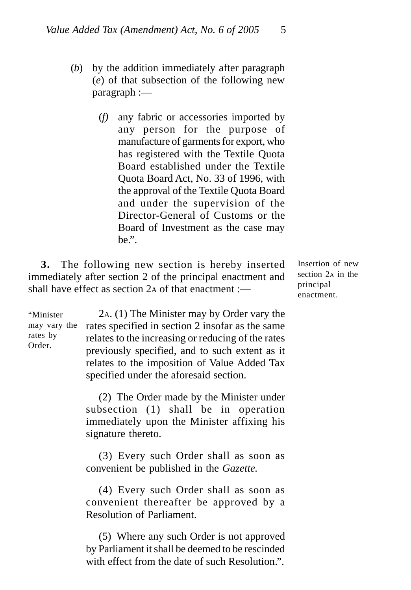- (*b*) by the addition immediately after paragraph (*e*) of that subsection of the following new paragraph :—
	- (*f)* any fabric or accessories imported by any person for the purpose of manufacture of garments for export, who has registered with the Textile Quota Board established under the Textile Quota Board Act, No. 33 of 1996, with the approval of the Textile Quota Board and under the supervision of the Director-General of Customs or the Board of Investment as the case may be.".

**3.** The following new section is hereby inserted immediately after section 2 of the principal enactment and shall have effect as section 2A of that enactment :—

Insertion of new section 2<sub>A</sub> in the principal enactment.

"Minister may vary the rates by Order.

2A. (1) The Minister may by Order vary the rates specified in section 2 insofar as the same relates to the increasing or reducing of the rates previously specified, and to such extent as it relates to the imposition of Value Added Tax specified under the aforesaid section.

(2) The Order made by the Minister under subsection (1) shall be in operation immediately upon the Minister affixing his signature thereto.

(3) Every such Order shall as soon as convenient be published in the *Gazette.*

(4) Every such Order shall as soon as convenient thereafter be approved by a Resolution of Parliament.

(5) Where any such Order is not approved by Parliament it shall be deemed to be rescinded with effect from the date of such Resolution.".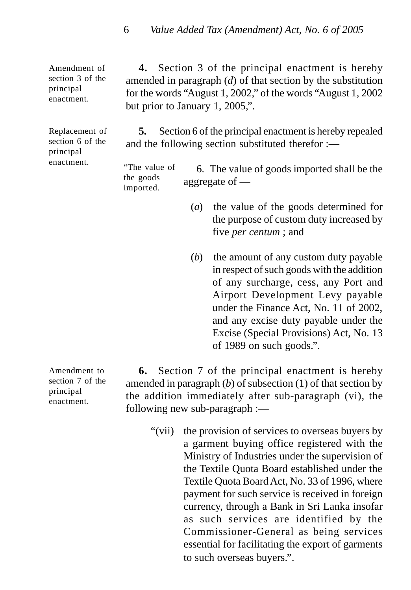Amendment of section 3 of the principal enactment.

Replacement of section 6 of the principal enactment.

**4.** Section 3 of the principal enactment is hereby amended in paragraph (*d*) of that section by the substitution for the words "August 1, 2002," of the words "August 1, 2002 but prior to January 1, 2005,".

**5.** Section 6 of the principal enactment is hereby repealed and the following section substituted therefor :—

6. The value of goods imported shall be the aggregate of — "The value of the goods imported.

- (*a*) the value of the goods determined for the purpose of custom duty increased by five *per centum* ; and
- (*b*) the amount of any custom duty payable in respect of such goods with the addition of any surcharge, cess, any Port and Airport Development Levy payable under the Finance Act, No. 11 of 2002, and any excise duty payable under the Excise (Special Provisions) Act, No. 13 of 1989 on such goods.".

Amendment to section 7 of the principal enactment.

**6.** Section 7 of the principal enactment is hereby amended in paragraph (*b*) of subsection (1) of that section by the addition immediately after sub-paragraph (vi), the following new sub-paragraph :—

"(vii) the provision of services to overseas buyers by a garment buying office registered with the Ministry of Industries under the supervision of the Textile Quota Board established under the Textile Quota Board Act, No. 33 of 1996, where payment for such service is received in foreign currency, through a Bank in Sri Lanka insofar as such services are identified by the Commissioner-General as being services essential for facilitating the export of garments to such overseas buyers.".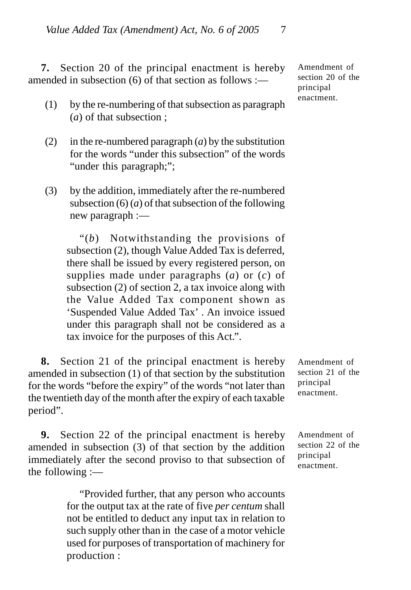**7.** Section 20 of the principal enactment is hereby amended in subsection (6) of that section as follows :—

- (1) by the re-numbering of that subsection as paragraph (*a*) of that subsection ;
- (2) in the re-numbered paragraph  $(a)$  by the substitution for the words "under this subsection" of the words "under this paragraph;";
- (3) by the addition, immediately after the re-numbered subsection (6) (*a*) of that subsection of the following new paragraph :—

"(*b*) Notwithstanding the provisions of subsection (2), though Value Added Tax is deferred, there shall be issued by every registered person, on supplies made under paragraphs (*a*) or (*c*) of subsection (2) of section 2, a tax invoice along with the Value Added Tax component shown as 'Suspended Value Added Tax' . An invoice issued under this paragraph shall not be considered as a tax invoice for the purposes of this Act.".

**8.** Section 21 of the principal enactment is hereby amended in subsection (1) of that section by the substitution for the words "before the expiry" of the words "not later than the twentieth day of the month after the expiry of each taxable period".

**9.** Section 22 of the principal enactment is hereby amended in subsection (3) of that section by the addition immediately after the second proviso to that subsection of the following :—

> "Provided further, that any person who accounts for the output tax at the rate of five *per centum* shall not be entitled to deduct any input tax in relation to such supply other than in the case of a motor vehicle used for purposes of transportation of machinery for production :

Amendment of section 20 of the principal enactment.

Amendment of section 21 of the principal enactment.

Amendment of section 22 of the principal enactment.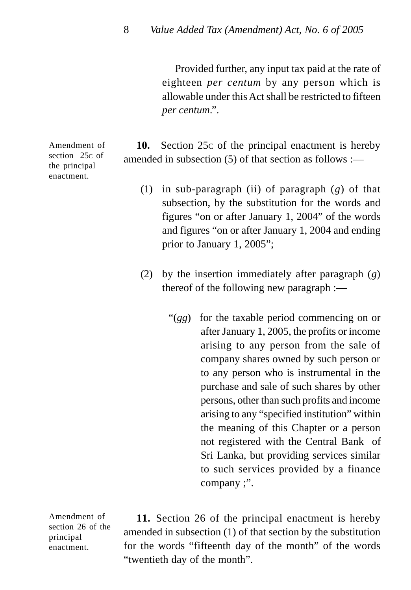Provided further, any input tax paid at the rate of eighteen *per centum* by any person which is allowable under this Act shall be restricted to fifteen *per centum*.".

**10.** Section 25c of the principal enactment is hereby amended in subsection (5) of that section as follows :—

- (1) in sub-paragraph (ii) of paragraph (*g*) of that subsection, by the substitution for the words and figures "on or after January 1, 2004" of the words and figures "on or after January 1, 2004 and ending prior to January 1, 2005";
- (2) by the insertion immediately after paragraph (*g*) thereof of the following new paragraph :—
	- "(*gg*) for the taxable period commencing on or after January 1, 2005, the profits or income arising to any person from the sale of company shares owned by such person or to any person who is instrumental in the purchase and sale of such shares by other persons, other than such profits and income arising to any "specified institution" within the meaning of this Chapter or a person not registered with the Central Bank of Sri Lanka, but providing services similar to such services provided by a finance company ;".

Amendment of section 26 of the principal enactment.

**11.** Section 26 of the principal enactment is hereby amended in subsection (1) of that section by the substitution for the words "fifteenth day of the month" of the words "twentieth day of the month".

Amendment of section 25c of the principal enactment.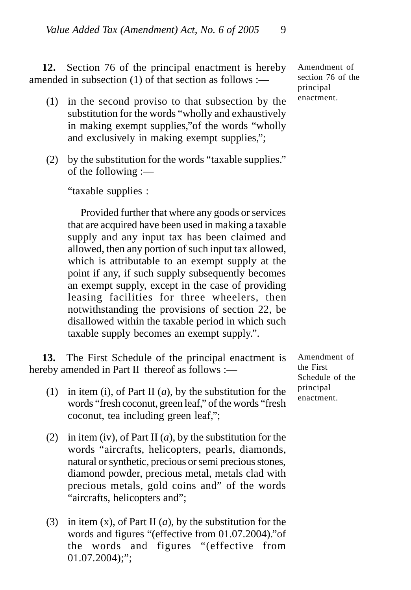**12.** Section 76 of the principal enactment is hereby amended in subsection (1) of that section as follows :—

- (1) in the second proviso to that subsection by the substitution for the words "wholly and exhaustively in making exempt supplies,"of the words "wholly and exclusively in making exempt supplies,";
- (2) by the substitution for the words "taxable supplies." of the following :—

"taxable supplies :

Provided further that where any goods or services that are acquired have been used in making a taxable supply and any input tax has been claimed and allowed, then any portion of such input tax allowed, which is attributable to an exempt supply at the point if any, if such supply subsequently becomes an exempt supply, except in the case of providing leasing facilities for three wheelers, then notwithstanding the provisions of section 22, be disallowed within the taxable period in which such taxable supply becomes an exempt supply.".

**13.** The First Schedule of the principal enactment is hereby amended in Part II thereof as follows :-

- (1) in item (i), of Part II (*a*), by the substitution for the words "fresh coconut, green leaf," of the words "fresh coconut, tea including green leaf,";
- (2) in item (iv), of Part II (*a*), by the substitution for the words "aircrafts, helicopters, pearls, diamonds, natural or synthetic, precious or semi precious stones, diamond powder, precious metal, metals clad with precious metals, gold coins and" of the words "aircrafts, helicopters and";
- (3) in item (x), of Part II (*a*), by the substitution for the words and figures "(effective from 01.07.2004)."of the words and figures "(effective from  $01.07.2004$ ;";

Amendment of the First Schedule of the principal enactment.

Amendment of section 76 of the principal enactment.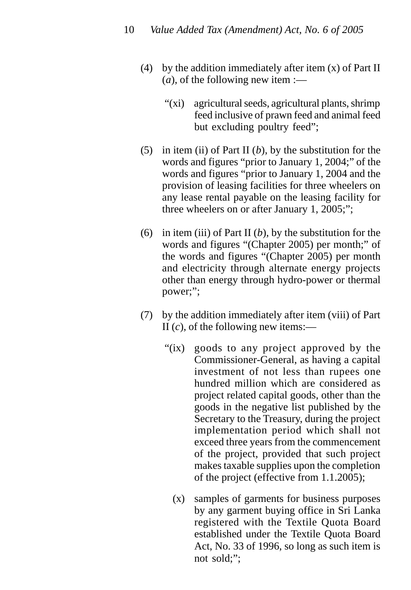- (4) by the addition immediately after item  $(x)$  of Part II  $(a)$ , of the following new item :—
	- "(xi) agricultural seeds, agricultural plants, shrimp feed inclusive of prawn feed and animal feed but excluding poultry feed";
- (5) in item (ii) of Part II (*b*), by the substitution for the words and figures "prior to January 1, 2004;" of the words and figures "prior to January 1, 2004 and the provision of leasing facilities for three wheelers on any lease rental payable on the leasing facility for three wheelers on or after January 1, 2005;";
- (6) in item (iii) of Part II (*b*), by the substitution for the words and figures "(Chapter 2005) per month;" of the words and figures "(Chapter 2005) per month and electricity through alternate energy projects other than energy through hydro-power or thermal power;";
- (7) by the addition immediately after item (viii) of Part II (*c*), of the following new items:—
	- "(ix) goods to any project approved by the Commissioner-General, as having a capital investment of not less than rupees one hundred million which are considered as project related capital goods, other than the goods in the negative list published by the Secretary to the Treasury, during the project implementation period which shall not exceed three years from the commencement of the project, provided that such project makes taxable supplies upon the completion of the project (effective from 1.1.2005);
		- (x) samples of garments for business purposes by any garment buying office in Sri Lanka registered with the Textile Quota Board established under the Textile Quota Board Act, No. 33 of 1996, so long as such item is not sold;";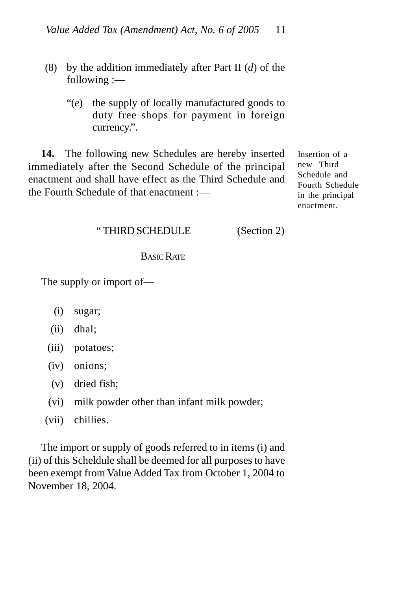- (8) by the addition immediately after Part II (*d*) of the following :—
	- "(*e*) the supply of locally manufactured goods to duty free shops for payment in foreign currency.".

**14.** The following new Schedules are hereby inserted immediately after the Second Schedule of the principal enactment and shall have effect as the Third Schedule and the Fourth Schedule of that enactment :—

Insertion of a new Third Schedule and Fourth Schedule in the principal enactment.

#### " THIRD SCHEDULE (Section 2)

## BASIC RATE

The supply or import of—

- (i) sugar;
- (ii) dhal;
- (iii) potatoes;
- (iv) onions;
- (v) dried fish;
- (vi) milk powder other than infant milk powder;
- (vii) chillies.

The import or supply of goods referred to in items (i) and (ii) of this Scheldule shall be deemed for all purposes to have been exempt from Value Added Tax from October 1, 2004 to November 18, 2004.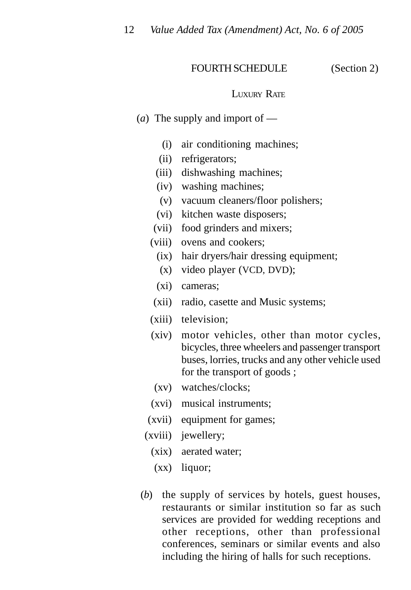### FOURTH SCHEDULE (Section 2)

#### LUXURY RATE

- (*a*) The supply and import of
	- (i) air conditioning machines;
	- (ii) refrigerators;
	- (iii) dishwashing machines;
	- (iv) washing machines;
	- (v) vacuum cleaners/floor polishers;
	- (vi) kitchen waste disposers;
	- (vii) food grinders and mixers;
	- (viii) ovens and cookers;
		- (ix) hair dryers/hair dressing equipment;
		- (x) video player (VCD, DVD);
		- (xi) cameras;
	- (xii) radio, casette and Music systems;
	- (xiii) television;
	- (xiv) motor vehicles, other than motor cycles, bicycles, three wheelers and passenger transport buses, lorries, trucks and any other vehicle used for the transport of goods ;
		- (xv) watches/clocks;
	- (xvi) musical instruments;
	- (xvii) equipment for games;
	- (xviii) jewellery;
		- (xix) aerated water;
		- (xx) liquor;
- (*b*) the supply of services by hotels, guest houses, restaurants or similar institution so far as such services are provided for wedding receptions and other receptions, other than professional conferences, seminars or similar events and also including the hiring of halls for such receptions.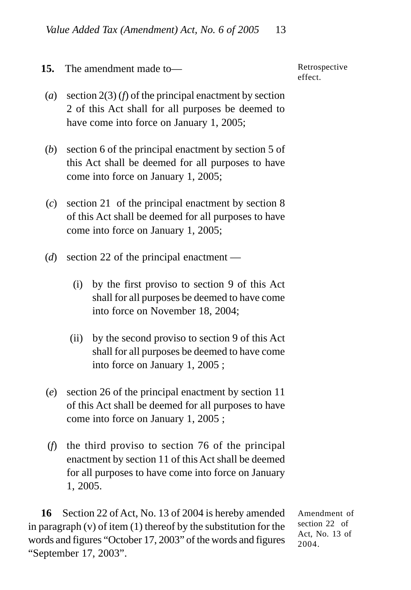**15.** The amendment made to—

Retrospective effect.

- (*a*) section 2(3) (*f*) of the principal enactment by section 2 of this Act shall for all purposes be deemed to have come into force on January 1, 2005;
- (*b*) section 6 of the principal enactment by section 5 of this Act shall be deemed for all purposes to have come into force on January 1, 2005;
- (*c*) section 21 of the principal enactment by section 8 of this Act shall be deemed for all purposes to have come into force on January 1, 2005;
- (*d*) section 22 of the principal enactment
	- (i) by the first proviso to section 9 of this Act shall for all purposes be deemed to have come into force on November 18, 2004;
	- (ii) by the second proviso to section 9 of this Act shall for all purposes be deemed to have come into force on January 1, 2005 ;
- (*e*) section 26 of the principal enactment by section 11 of this Act shall be deemed for all purposes to have come into force on January 1, 2005 ;
- (*f*) the third proviso to section 76 of the principal enactment by section 11 of this Act shall be deemed for all purposes to have come into force on January 1, 2005.

**16** Section 22 of Act, No. 13 of 2004 is hereby amended in paragraph  $(v)$  of item  $(1)$  thereof by the substitution for the words and figures "October 17, 2003" of the words and figures "September 17, 2003".

Amendment of section 22 of Act, No. 13 of 2004.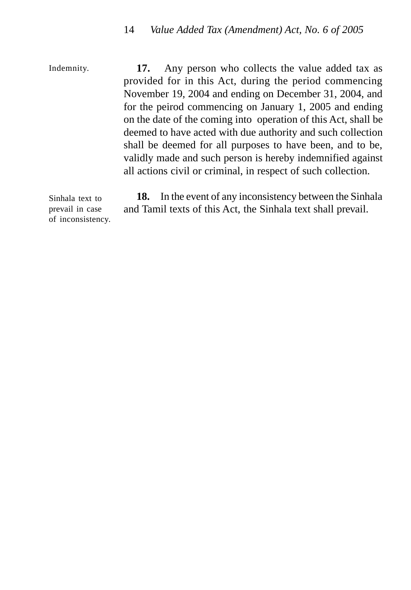Indemnity.

**17.** Any person who collects the value added tax as provided for in this Act, during the period commencing November 19, 2004 and ending on December 31, 2004, and for the peirod commencing on January 1, 2005 and ending on the date of the coming into operation of this Act, shall be deemed to have acted with due authority and such collection shall be deemed for all purposes to have been, and to be, validly made and such person is hereby indemnified against all actions civil or criminal, in respect of such collection.

Sinhala text to prevail in case of inconsistency.

**18.** In the event of any inconsistency between the Sinhala and Tamil texts of this Act, the Sinhala text shall prevail.